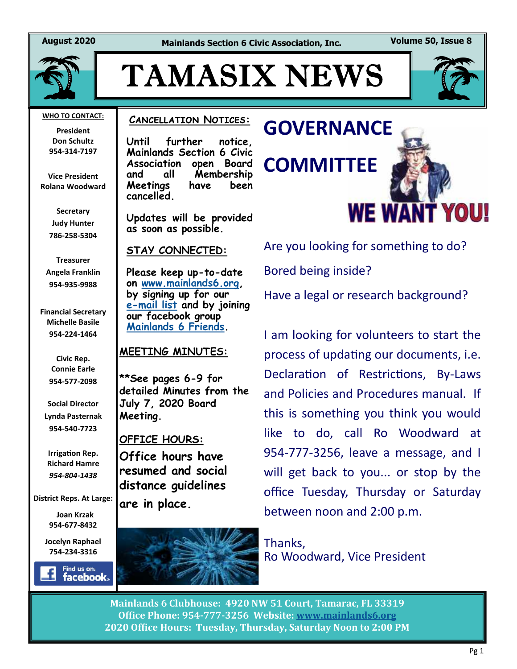**August 2020 Mainlands Section 6 Civic Association, Inc. Volume 50, Issue 8**



# TAMASIX NEWS



**President Don Schultz 954-314-7197**

**Vice President Rolana Woodward**

> **Secretary Judy Hunter 786-258-5304**

**Treasurer Angela Franklin 954-935-9988**

**Financial Secretary Michelle Basile 954-224-1464**

> **Civic Rep. Connie Earle 954-577-2098**

**Social Director Lynda Pasternak 954-540-7723**

**Irrigation Rep. Richard Hamre** *954-804-1438*

**District Reps. At Large:**

 **Joan Krzak 954-677-8432**

**Jocelyn Raphael 754-234-3316** 



### **Cancellation Notices:**

**Until further notice, Mainlands Section 6 Civic Association open Board and all Membership Meetings have been cancelled.** 

**Updates will be provided as soon as possible.** 

#### **STAY CONNECTED:**

**Please keep up-to-date on [www.mainlands6.org,](http://www.mainlands6.org) by signing up for our e-[mail list](http://www.mainlands6.org/?page_id=985) and by joining our facebook group [Mainlands 6 Friends.](https://www.facebook.com/groups/964627830373018/)**

### **MEETING MINUTES:**

**\*\*See pages 6-9 for detailed Minutes from the July 7, 2020 Board Meeting.**

### **OFFICE HOURS:**

**Office hours have resumed and social distance guidelines are in place.**



# **GOVERNANCE COMMITTEE WE WANT YOU!**

Are you looking for something to do? Bored being inside?

Have a legal or research background?

I am looking for volunteers to start the process of updating our documents, i.e. Declaration of Restrictions, By-Laws and Policies and Procedures manual. If this is something you think you would like to do, call Ro Woodward at 954-777-3256, leave a message, and I will get back to you... or stop by the office Tuesday, Thursday or Saturday between noon and 2:00 p.m.

Thanks, Ro Woodward, Vice President

**Mainlands 6 Clubhouse: 4920 NW 51 Court, Tamarac, FL 33319 Office Phone: 954-777-3256 Website: [www.mainlands6.org](http://www.mainlands6.org) 2020 Office Hours: Tuesday, Thursday, Saturday Noon to 2:00 PM**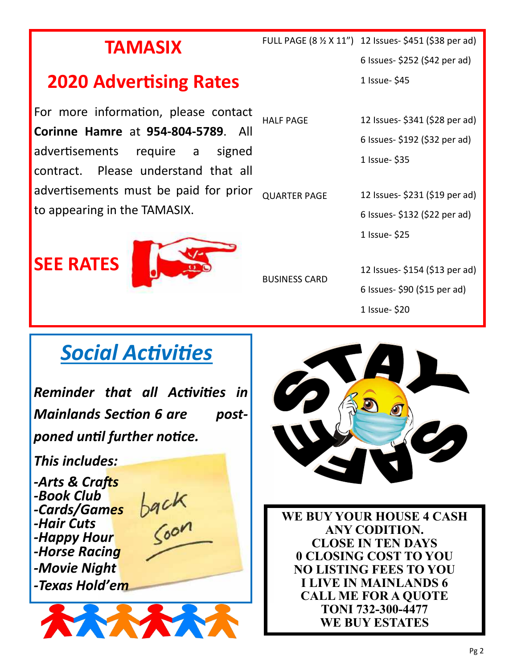## **TAMASIX**

## **2020 Advertising Rates**

For more information, please contact **Corinne Hamre** at **954-804-5789**. All advertisements require a signed contract. Please understand that all advertisements must be paid for prior to appearing in the TAMASIX. HALF PAGE QUARTER PAGE

**SEE RATES**



BUSINESS CARD

 FULL PAGE (8 ½ X 11") 12 Issues- \$451 (\$38 per ad) 6 Issues- \$252 (\$42 per ad) 1 Issue- \$45

> 12 Issues- \$341 (\$28 per ad) 6 Issues- \$192 (\$32 per ad)

1 Issue- \$35

12 Issues- \$231 (\$19 per ad)

6 Issues- \$132 (\$22 per ad)

1 Issue- \$25

12 Issues- \$154 (\$13 per ad)

6 Issues- \$90 (\$15 per ad)

1 Issue- \$20

## *Social Activities*

*Reminder that all Activities in Mainlands Section 6 are postponed until further notice.* 

*This includes:*

*-Arts & Crafts -Book Club -Cards/Games -Hair Cuts -Happy Hour -Horse Racing -Movie Night -Texas Hold'em*



back<br>Soon



**WE BUY YOUR HOUSE 4 CASH ANY CODITION. CLOSE IN TEN DAYS 0 CLOSING COST TO YOU NO LISTING FEES TO YOU I LIVE IN MAINLANDS 6 CALL ME FOR A QUOTE TONI 732-300-4477 WE BUY ESTATES**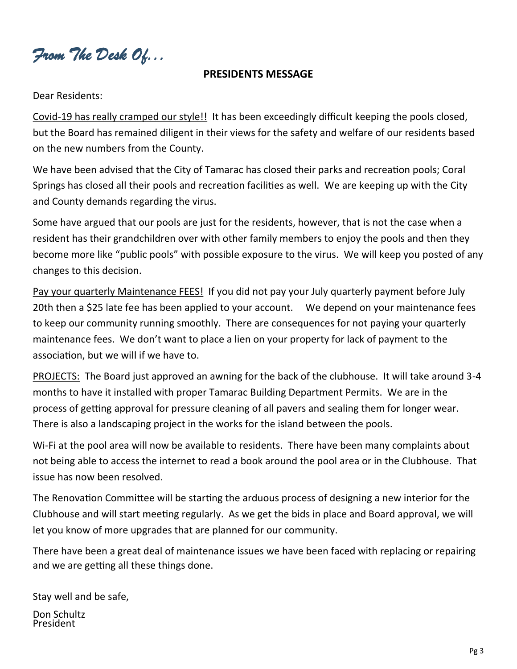*From The Desk Of...* 

### **PRESIDENTS MESSAGE**

Dear Residents:

Covid-19 has really cramped our style!! It has been exceedingly difficult keeping the pools closed, but the Board has remained diligent in their views for the safety and welfare of our residents based on the new numbers from the County.

We have been advised that the City of Tamarac has closed their parks and recreation pools; Coral Springs has closed all their pools and recreation facilities as well. We are keeping up with the City and County demands regarding the virus.

Some have argued that our pools are just for the residents, however, that is not the case when a resident has their grandchildren over with other family members to enjoy the pools and then they become more like "public pools" with possible exposure to the virus. We will keep you posted of any changes to this decision.

Pay your quarterly Maintenance FEES! If you did not pay your July quarterly payment before July 20th then a \$25 late fee has been applied to your account. We depend on your maintenance fees to keep our community running smoothly. There are consequences for not paying your quarterly maintenance fees. We don't want to place a lien on your property for lack of payment to the association, but we will if we have to.

PROJECTS: The Board just approved an awning for the back of the clubhouse. It will take around 3-4 months to have it installed with proper Tamarac Building Department Permits. We are in the process of getting approval for pressure cleaning of all pavers and sealing them for longer wear. There is also a landscaping project in the works for the island between the pools.

Wi-Fi at the pool area will now be available to residents. There have been many complaints about not being able to access the internet to read a book around the pool area or in the Clubhouse. That issue has now been resolved.

The Renovation Committee will be starting the arduous process of designing a new interior for the Clubhouse and will start meeting regularly. As we get the bids in place and Board approval, we will let you know of more upgrades that are planned for our community.

There have been a great deal of maintenance issues we have been faced with replacing or repairing and we are getting all these things done.

Stay well and be safe,

Don Schultz President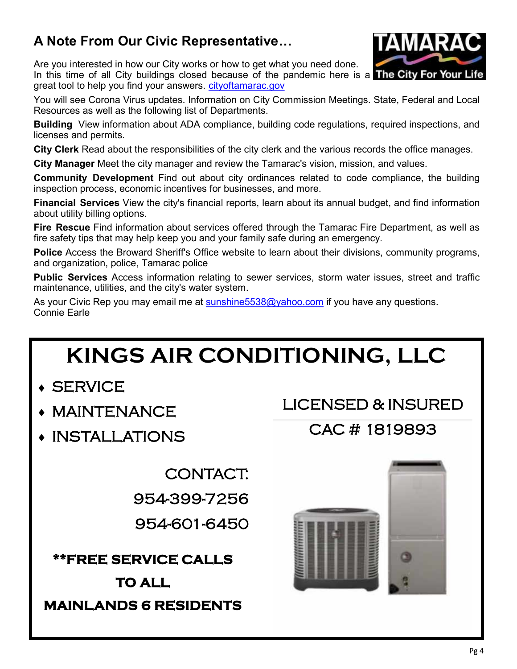### **A Note From Our Civic Representative…**

Are you interested in how our City works or how to get what you need done.

In this time of all City buildings closed because of the pandemic here is a **The City For Your Life** great tool to help you find your answers. [cityoftamarac.gov](http://cityoftamarac.gov/)

You will see Corona Virus updates. Information on City Commission Meetings. State, Federal and Local Resources as well as the following list of Departments.

**Building** View information about ADA compliance, building code regulations, required inspections, and licenses and permits.

**City Clerk** Read about the responsibilities of the city clerk and the various records the office manages.

**City Manager** Meet the city manager and review the Tamarac's vision, mission, and values.

**Community Development** Find out about city ordinances related to code compliance, the building inspection process, economic incentives for businesses, and more.

**Financial Services** View the city's financial reports, learn about its annual budget, and find information about utility billing options.

**Fire Rescue** Find information about services offered through the Tamarac Fire Department, as well as fire safety tips that may help keep you and your family safe during an emergency.

**Police** Access the Broward Sheriff's Office website to learn about their divisions, community programs, and organization, police, Tamarac police

**Public Services** Access information relating to sewer services, storm water issues, street and traffic maintenance, utilities, and the city's water system.

As your Civic Rep you may email me at sunshine 5538@yahoo.com if you have any questions. Connie Earle

## **KINGS AIR CONDITIONING, LLC**

- **SERVICE**
- MAINTENANCE
- INSTALLATIONS

CONTACT:

954-399-7256

954-601-6450

**\*\*FREE SERVICE CALLS TO ALL MAINLANDS 6 RESIDENTS** 

## LICENSED & INSURED

### CAC # 1819893





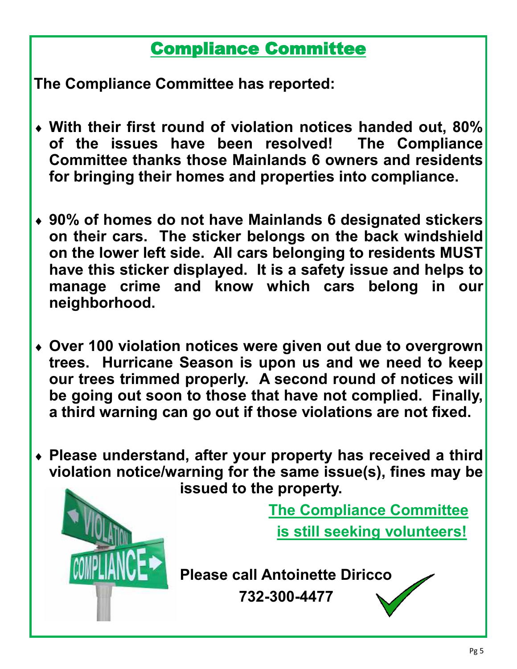## Compliance Committee

**The Compliance Committee has reported:**

- **With their first round of violation notices handed out, 80% of the issues have been resolved! The Compliance Committee thanks those Mainlands 6 owners and residents for bringing their homes and properties into compliance.**
- **90% of homes do not have Mainlands 6 designated stickers on their cars. The sticker belongs on the back windshield on the lower left side. All cars belonging to residents MUST have this sticker displayed. It is a safety issue and helps to manage crime and know which cars belong in our neighborhood.**
- **Over 100 violation notices were given out due to overgrown trees. Hurricane Season is upon us and we need to keep our trees trimmed properly. A second round of notices will be going out soon to those that have not complied. Finally, a third warning can go out if those violations are not fixed.**
- **Please understand, after your property has received a third violation notice/warning for the same issue(s), fines may be issued to the property.**



 **The Compliance Committee** 

 **is still seeking volunteers!**

**Please call Antoinette Diricco 732-300-4477**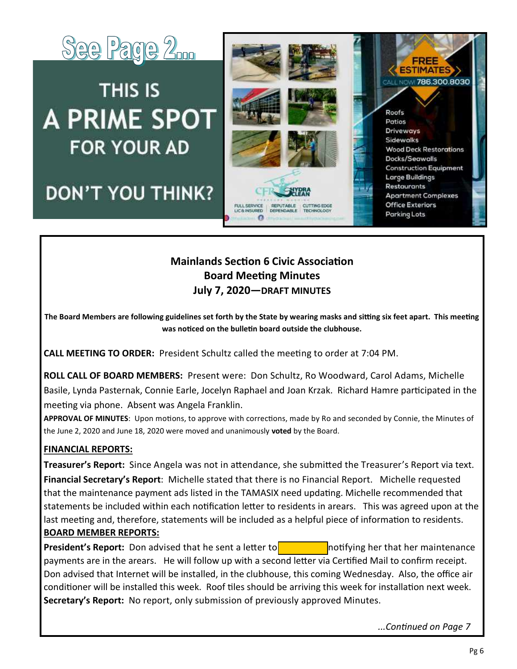

## THIS IS **A PRIME SPOT FOR YOUR AD**

## **DON'T YOU THINK?**



### **Mainlands Section 6 Civic Association Board Meeting Minutes July 7, 2020—DRAFT MINUTES**

**The Board Members are following guidelines set forth by the State by wearing masks and sitting six feet apart. This meeting was noticed on the bulletin board outside the clubhouse.**

**CALL MEETING TO ORDER:** President Schultz called the meeting to order at 7:04 PM.

**ROLL CALL OF BOARD MEMBERS:** Present were: Don Schultz, Ro Woodward, Carol Adams, Michelle Basile, Lynda Pasternak, Connie Earle, Jocelyn Raphael and Joan Krzak. Richard Hamre participated in the meeting via phone. Absent was Angela Franklin.

**APPROVAL OF MINUTES**: Upon motions, to approve with corrections, made by Ro and seconded by Connie, the Minutes of the June 2, 2020 and June 18, 2020 were moved and unanimously **voted** by the Board.

### **FINANCIAL REPORTS:**

**Treasurer's Report:** Since Angela was not in attendance, she submitted the Treasurer's Report via text. **Financial Secretary's Report**: Michelle stated that there is no Financial Report. Michelle requested that the maintenance payment ads listed in the TAMASIX need updating. Michelle recommended that statements be included within each notification letter to residents in arears. This was agreed upon at the last meeting and, therefore, statements will be included as a helpful piece of information to residents. **BOARD MEMBER REPORTS:** 

**President's Report:** Don advised that he sent a letter to **Rose Moundation** hotifying her that her maintenance payments are in the arears. He will follow up with a second letter via Certified Mail to confirm receipt. Don advised that Internet will be installed, in the clubhouse, this coming Wednesday. Also, the office air conditioner will be installed this week. Roof tiles should be arriving this week for installation next week. **Secretary's Report:** No report, only submission of previously approved Minutes.

*...Continued on Page 7*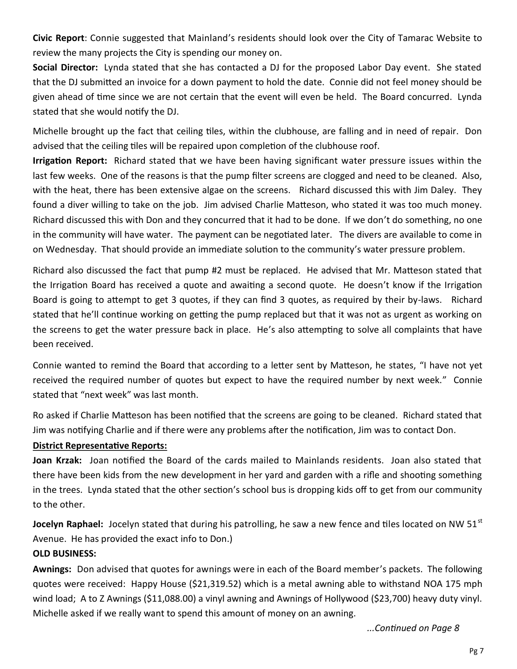**Civic Report**: Connie suggested that Mainland's residents should look over the City of Tamarac Website to review the many projects the City is spending our money on.

**Social Director:** Lynda stated that she has contacted a DJ for the proposed Labor Day event. She stated that the DJ submitted an invoice for a down payment to hold the date. Connie did not feel money should be given ahead of time since we are not certain that the event will even be held. The Board concurred. Lynda stated that she would notify the DJ.

Michelle brought up the fact that ceiling tiles, within the clubhouse, are falling and in need of repair. Don advised that the ceiling tiles will be repaired upon completion of the clubhouse roof.

**Irrigation Report:** Richard stated that we have been having significant water pressure issues within the last few weeks. One of the reasons is that the pump filter screens are clogged and need to be cleaned. Also, with the heat, there has been extensive algae on the screens. Richard discussed this with Jim Daley. They found a diver willing to take on the job. Jim advised Charlie Matteson, who stated it was too much money. Richard discussed this with Don and they concurred that it had to be done. If we don't do something, no one in the community will have water. The payment can be negotiated later. The divers are available to come in on Wednesday. That should provide an immediate solution to the community's water pressure problem.

Richard also discussed the fact that pump #2 must be replaced. He advised that Mr. Matteson stated that the Irrigation Board has received a quote and awaiting a second quote. He doesn't know if the Irrigation Board is going to attempt to get 3 quotes, if they can find 3 quotes, as required by their by-laws. Richard stated that he'll continue working on getting the pump replaced but that it was not as urgent as working on the screens to get the water pressure back in place. He's also attempting to solve all complaints that have been received.

Connie wanted to remind the Board that according to a letter sent by Matteson, he states, "I have not yet received the required number of quotes but expect to have the required number by next week." Connie stated that "next week" was last month.

Ro asked if Charlie Matteson has been notified that the screens are going to be cleaned. Richard stated that Jim was notifying Charlie and if there were any problems after the notification, Jim was to contact Don.

### **District Representative Reports:**

**Joan Krzak:** Joan notified the Board of the cards mailed to Mainlands residents. Joan also stated that there have been kids from the new development in her yard and garden with a rifle and shooting something in the trees. Lynda stated that the other section's school bus is dropping kids off to get from our community to the other.

**Jocelyn Raphael:** Jocelyn stated that during his patrolling, he saw a new fence and tiles located on NW 51<sup>st</sup> Avenue. He has provided the exact info to Don.)

### **OLD BUSINESS:**

**Awnings:** Don advised that quotes for awnings were in each of the Board member's packets. The following quotes were received: Happy House (\$21,319.52) which is a metal awning able to withstand NOA 175 mph wind load; A to Z Awnings (\$11,088.00) a vinyl awning and Awnings of Hollywood (\$23,700) heavy duty vinyl. Michelle asked if we really want to spend this amount of money on an awning.

*...Continued on Page 8*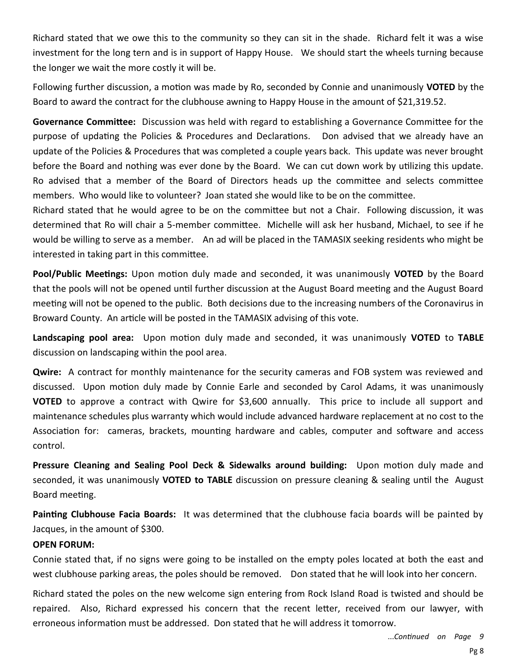Richard stated that we owe this to the community so they can sit in the shade. Richard felt it was a wise investment for the long tern and is in support of Happy House. We should start the wheels turning because the longer we wait the more costly it will be.

Following further discussion, a motion was made by Ro, seconded by Connie and unanimously **VOTED** by the Board to award the contract for the clubhouse awning to Happy House in the amount of \$21,319.52.

**Governance Committee:** Discussion was held with regard to establishing a Governance Committee for the purpose of updating the Policies & Procedures and Declarations. Don advised that we already have an update of the Policies & Procedures that was completed a couple years back. This update was never brought before the Board and nothing was ever done by the Board. We can cut down work by utilizing this update. Ro advised that a member of the Board of Directors heads up the committee and selects committee members. Who would like to volunteer? Joan stated she would like to be on the committee.

Richard stated that he would agree to be on the committee but not a Chair. Following discussion, it was determined that Ro will chair a 5-member committee. Michelle will ask her husband, Michael, to see if he would be willing to serve as a member. An ad will be placed in the TAMASIX seeking residents who might be interested in taking part in this committee.

**Pool/Public Meetings:** Upon motion duly made and seconded, it was unanimously **VOTED** by the Board that the pools will not be opened until further discussion at the August Board meeting and the August Board meeting will not be opened to the public. Both decisions due to the increasing numbers of the Coronavirus in Broward County. An article will be posted in the TAMASIX advising of this vote.

**Landscaping pool area:** Upon motion duly made and seconded, it was unanimously **VOTED** to **TABLE** discussion on landscaping within the pool area.

**Qwire:** A contract for monthly maintenance for the security cameras and FOB system was reviewed and discussed. Upon motion duly made by Connie Earle and seconded by Carol Adams, it was unanimously **VOTED** to approve a contract with Qwire for \$3,600 annually. This price to include all support and maintenance schedules plus warranty which would include advanced hardware replacement at no cost to the Association for: cameras, brackets, mounting hardware and cables, computer and software and access control.

**Pressure Cleaning and Sealing Pool Deck & Sidewalks around building:** Upon motion duly made and seconded, it was unanimously **VOTED to TABLE** discussion on pressure cleaning & sealing until the August Board meeting.

**Painting Clubhouse Facia Boards:** It was determined that the clubhouse facia boards will be painted by Jacques, in the amount of \$300.

### **OPEN FORUM:**

Connie stated that, if no signs were going to be installed on the empty poles located at both the east and west clubhouse parking areas, the poles should be removed. Don stated that he will look into her concern.

Richard stated the poles on the new welcome sign entering from Rock Island Road is twisted and should be repaired. Also, Richard expressed his concern that the recent letter, received from our lawyer, with erroneous information must be addressed. Don stated that he will address it tomorrow.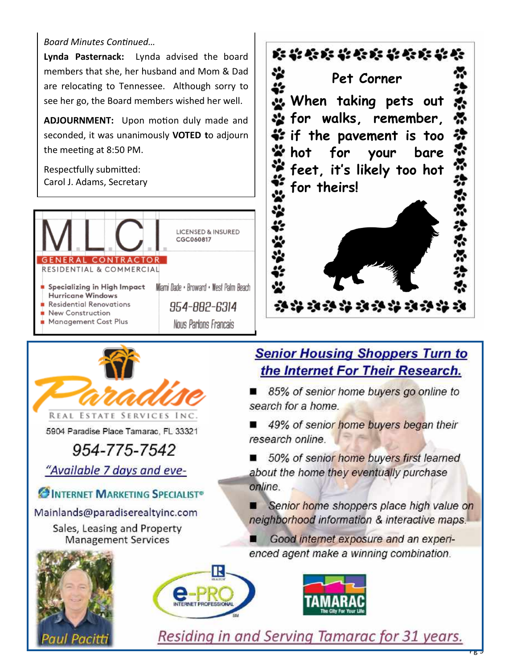### *Board Minutes Continued…*

**Lynda Pasternack:** Lynda advised the board members that she, her husband and Mom & Dad are relocating to Tennessee. Although sorry to see her go, the Board members wished her well.

**ADJOURNMENT:** Upon motion duly made and seconded, it was unanimously **VOTED t**o adjourn the meeting at 8:50 PM.

Respectfully submitted: Carol J. Adams, Secretary





5904 Paradise Place Tamarac, FL 33321

## 954-775-7542

"Available 7 days and eve-

INTERNET MARKETING SPECIALIST®

Mainlands@paradiserealtyinc.com

Sales, Leasing and Property **Management Services** 





### **Senior Housing Shoppers Turn to** the Internet For Their Research.

85% of senior home buyers go online to search for a home.

 $\blacksquare$ 49% of senior home buyers began their research online.

50% of senior home buyers first learned ■ about the home they eventually purchase online.

Senior home shoppers place high value on neighborhood information & interactive maps.

Good internet exposure and an experienced agent make a winning combination.





Residing in and Serving Tamarac for 31 years.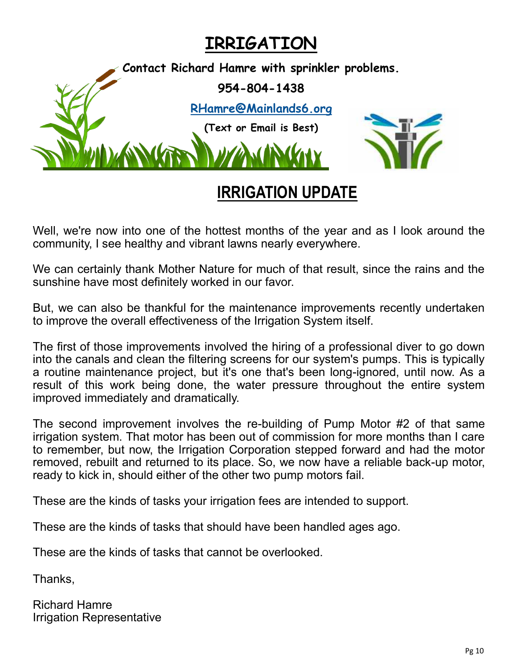## **IRRIGATION**



## **IRRIGATION UPDATE**

Well, we're now into one of the hottest months of the year and as I look around the community, I see healthy and vibrant lawns nearly everywhere.

We can certainly thank Mother Nature for much of that result, since the rains and the sunshine have most definitely worked in our favor.

But, we can also be thankful for the maintenance improvements recently undertaken to improve the overall effectiveness of the Irrigation System itself.

The first of those improvements involved the hiring of a professional diver to go down into the canals and clean the filtering screens for our system's pumps. This is typically a routine maintenance project, but it's one that's been long-ignored, until now. As a result of this work being done, the water pressure throughout the entire system improved immediately and dramatically.

The second improvement involves the re-building of Pump Motor #2 of that same irrigation system. That motor has been out of commission for more months than I care to remember, but now, the Irrigation Corporation stepped forward and had the motor removed, rebuilt and returned to its place. So, we now have a reliable back-up motor, ready to kick in, should either of the other two pump motors fail.

These are the kinds of tasks your irrigation fees are intended to support.

These are the kinds of tasks that should have been handled ages ago.

These are the kinds of tasks that cannot be overlooked.

Thanks,

Richard Hamre Irrigation Representative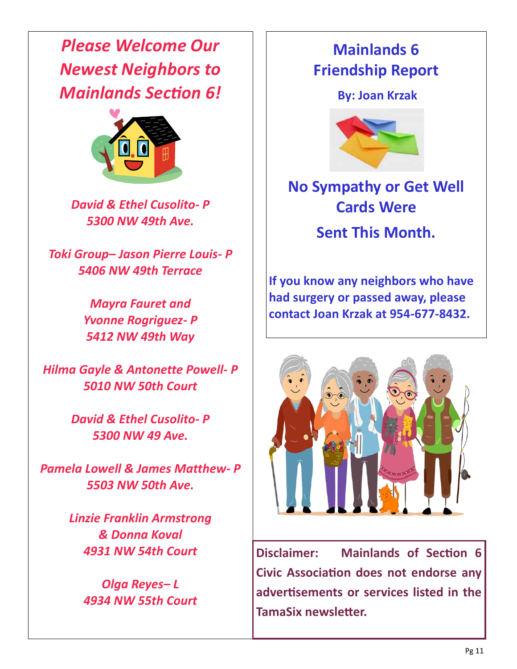*Please Welcome Our Newest Neighbors to Mainlands Section 6!*



*David & Ethel Cusolito- P 5300 NW 49th Ave.*

*Toki Group– Jason Pierre Louis- P 5406 NW 49th Terrace*

> *Mayra Fauret and Yvonne Rogriguez- P 5412 NW 49th Way*

*Hilma Gayle & Antonette Powell- P 5010 NW 50th Court*

> *David & Ethel Cusolito- P 5300 NW 49 Ave.*

*Pamela Lowell & James Matthew- P 5503 NW 50th Ave.*

> *Linzie Franklin Armstrong & Donna Koval 4931 NW 54th Court*

*Olga Reyes– L 4934 NW 55th Court*

## **Mainlands 6 Friendship Report**

**By: Joan Krzak** 



## **No Sympathy or Get Well Cards Were**

**Sent This Month.**

**If you know any neighbors who have had surgery or passed away, please contact Joan Krzak at 954-677-8432.**



**Disclaimer: Mainlands of Section 6 Civic Association does not endorse any advertisements or services listed in the TamaSix newsletter.**